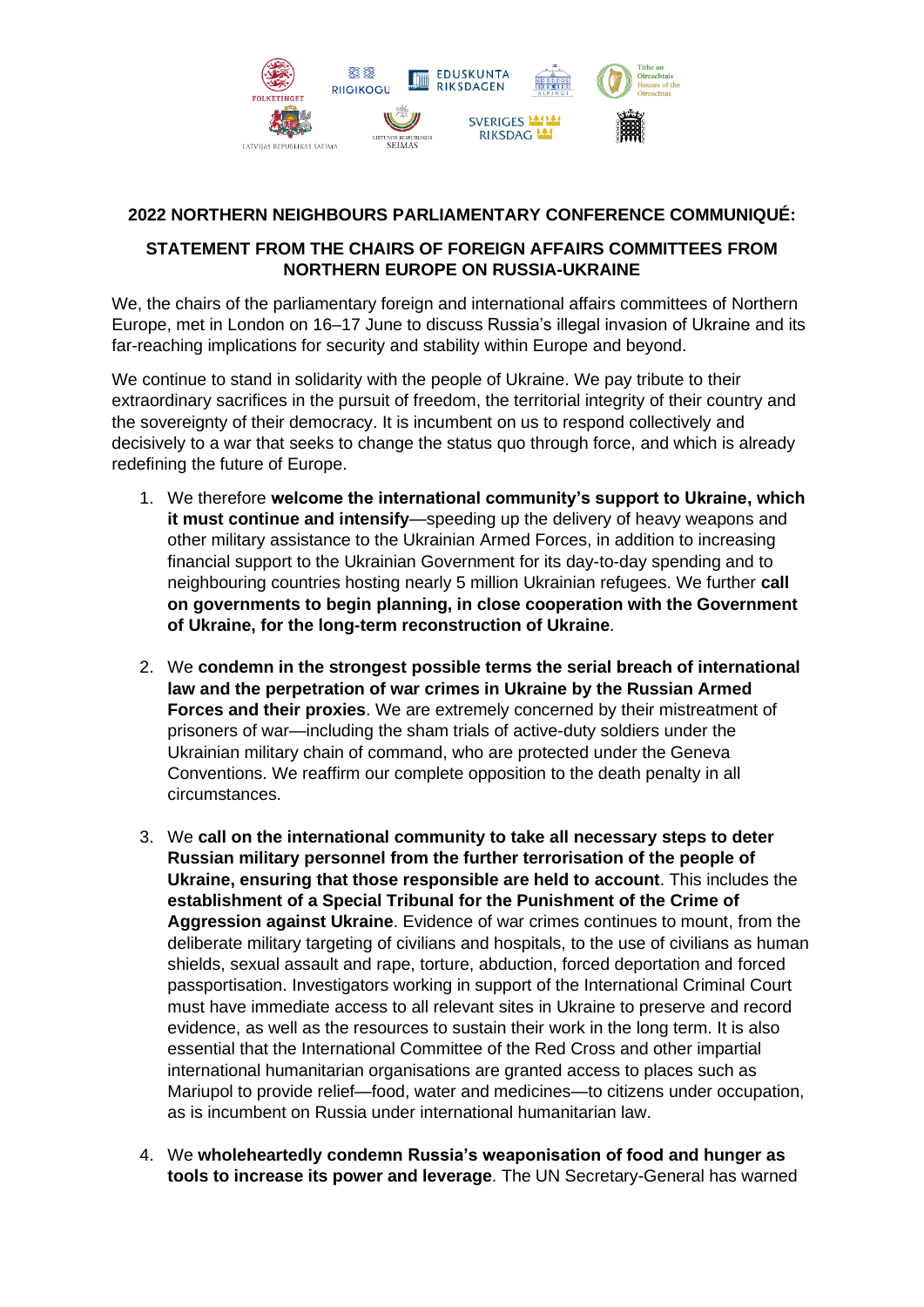

## **2022 NORTHERN NEIGHBOURS PARLIAMENTARY CONFERENCE COMMUNIQUÉ:**

## **STATEMENT FROM THE CHAIRS OF FOREIGN AFFAIRS COMMITTEES FROM NORTHERN EUROPE ON RUSSIA-UKRAINE**

We, the chairs of the parliamentary foreign and international affairs committees of Northern Europe, met in London on 16–17 June to discuss Russia's illegal invasion of Ukraine and its far-reaching implications for security and stability within Europe and beyond.

We continue to stand in solidarity with the people of Ukraine. We pay tribute to their extraordinary sacrifices in the pursuit of freedom, the territorial integrity of their country and the sovereignty of their democracy. It is incumbent on us to respond collectively and decisively to a war that seeks to change the status quo through force, and which is already redefining the future of Europe.

- 1. We therefore **welcome the international community's support to Ukraine, which it must continue and intensify**—speeding up the delivery of heavy weapons and other military assistance to the Ukrainian Armed Forces, in addition to increasing financial support to the Ukrainian Government for its day-to-day spending and to neighbouring countries hosting nearly 5 million Ukrainian refugees. We further **call on governments to begin planning, in close cooperation with the Government of Ukraine, for the long-term reconstruction of Ukraine**.
- 2. We **condemn in the strongest possible terms the serial breach of international law and the perpetration of war crimes in Ukraine by the Russian Armed Forces and their proxies**. We are extremely concerned by their mistreatment of prisoners of war—including the sham trials of active-duty soldiers under the Ukrainian military chain of command, who are protected under the Geneva Conventions. We reaffirm our complete opposition to the death penalty in all circumstances.
- 3. We **call on the international community to take all necessary steps to deter Russian military personnel from the further terrorisation of the people of Ukraine, ensuring that those responsible are held to account**. This includes the **establishment of a Special Tribunal for the Punishment of the Crime of Aggression against Ukraine**. Evidence of war crimes continues to mount, from the deliberate military targeting of civilians and hospitals, to the use of civilians as human shields, sexual assault and rape, torture, abduction, forced deportation and forced passportisation. Investigators working in support of the International Criminal Court must have immediate access to all relevant sites in Ukraine to preserve and record evidence, as well as the resources to sustain their work in the long term. It is also essential that the International Committee of the Red Cross and other impartial international humanitarian organisations are granted access to places such as Mariupol to provide relief—food, water and medicines—to citizens under occupation, as is incumbent on Russia under international humanitarian law.
- 4. We **wholeheartedly condemn Russia's weaponisation of food and hunger as tools to increase its power and leverage**. The UN Secretary-General has warned